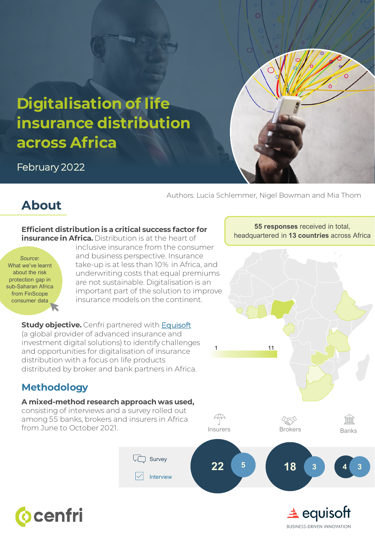

February 2022

Authors: Lucia Schlemmer, Nigel Bowman and Mia Thom

## **About**

#### **Efficient distribution is a critical success factor for insurance in Africa.** Distribution is at the heart of

*Source*: What we've learnt about the risk protection gap in [sub-Saharan Africa](https://cenfri.org/articles/what-we-learnt-about-the-risk-protection-gap-in-sub-saharan-africa-by-engaging-with-finscope-consumer-data/)  from FinScope consumer data

inclusive insurance from the consumer and business perspective. Insurance take-up is at less than 10% in Africa, and underwriting costs that equal premiums are not sustainable. Digitalisation is an important part of the solution to improve insurance models on the continent.

**Study objective.** Cenfri partnered with **[Equisoft](https://www.equisoft.com/)** (a global provider of advanced insurance and investment digital solutions) to identify challenges and opportunities for digitalisation of insurance distribution with a focus on life products distributed by broker and bank partners in Africa.

### **Methodology**

### **A mixed-method research approach was used,**

consisting of interviews and a survey rolled out among 55 banks, brokers and insurers in Africa from June to October 2021.



1 11



ím



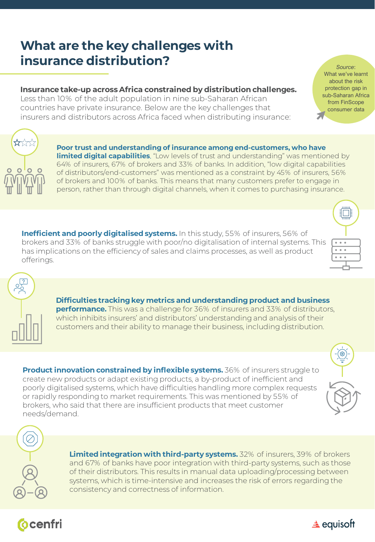# **What are the key challenges with insurance distribution?**

### **Insurance take-up across Africa constrained by distribution challenges.**

Less than 10% of the adult population in nine sub-Saharan African countries have private insurance. Below are the key challenges that insurers and distributors across Africa faced when distributing insurance:

> **Poor trust and understanding of insurance among end-customers, who have limited digital capabilities**. "Low levels of trust and understanding" was mentioned by 64% of insurers, 67% of brokers and 33% of banks. In addition, "low digital capabilities of distributors/end-customers" was mentioned as a constraint by 45% of insurers, 56% of brokers and 100% of banks. This means that many customers prefer to engage in person, rather than through digital channels, when it comes to purchasing insurance.

**Inefficient and poorly digitalised systems.** In this study, 55% of insurers, 56% of brokers and 33% of banks struggle with poor/no digitalisation of internal systems. This has implications on the efficiency of sales and claims processes, as well as product offerings.

> **Difficulties tracking key metrics and understanding product and business performance.** This was a challenge for 36% of insurers and 33% of distributors, which inhibits insurers' and distributors' understanding and analysis of their customers and their ability to manage their business, including distribution.

**Product innovation constrained by inflexible systems.** 36% of insurers struggle to create new products or adapt existing products, a by-product of inefficient and poorly digitalised systems, which have difficulties handling more complex requests or rapidly responding to market requirements. This was mentioned by 55% of brokers, who said that there are insufficient products that meet customer needs/demand.

> **Limited integration with third-party systems.** 32% of insurers, 39% of brokers and 67% of banks have poor integration with third-party systems, such as those of their distributors. This results in manual data uploading/processing between systems, which is time-intensive and increases the risk of errors regarding the consistency and correctness of information.













*Source*: What we've learnt about the risk protection gap in [sub-Saharan Africa](https://cenfri.org/articles/what-we-learnt-about-the-risk-protection-gap-in-sub-saharan-africa-by-engaging-with-finscope-consumer-data/)  from FinScope consumer data $\blacktriangledown$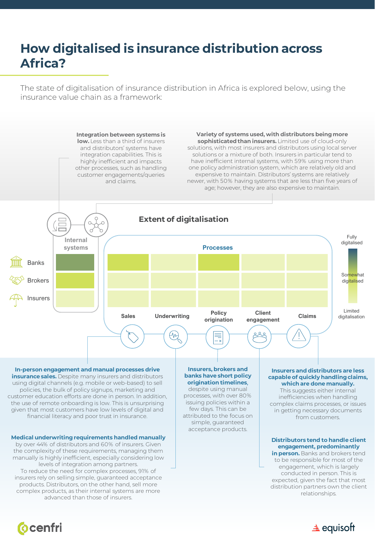# **How digitalised is insurance distribution across Africa?**

The state of digitalisation of insurance distribution in Africa is explored below, using the insurance value chain as a framework:



#### advanced than those of insurers.



**Ocenfri**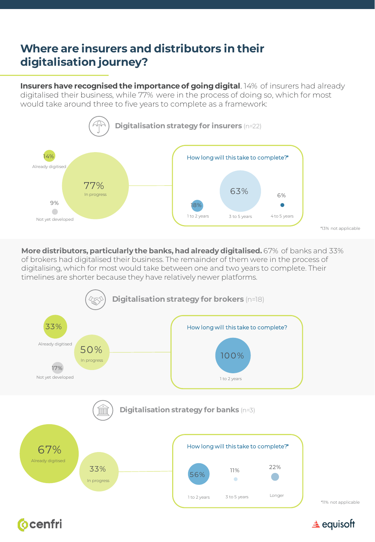### **Where are insurers and distributors in their digitalisation journey?**

**Insurers have recognised the importance of going digital.** 14% of insurers had already digitalised their business, while 77% were in the process of doing so, which for most would take around three to five years to complete as a framework:



**More distributors, particularly the banks, had already digitalised.** 67% of banks and 33% of brokers had digitalised their business. The remainder of them were in the process of digitalising, which for most would take between one and two years to complete. Their timelines are shorter because they have relatively newer platforms.



**Ocenfri** 

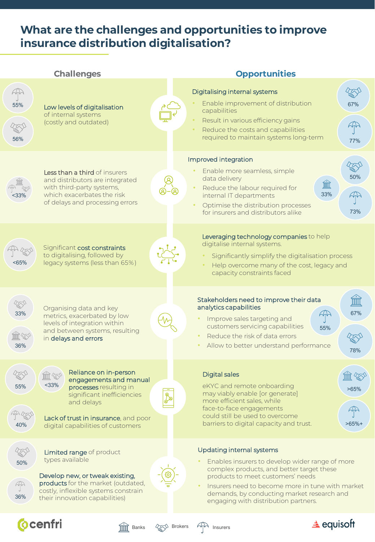### **What are the challenges and opportunities to improve insurance distribution digitalisation?**

| <b>Challenges</b>                                                                                                                                                                                                                                     | <b>Opportunities</b>         |                                                                                                                                                                                                                                                                                                          |                             |
|-------------------------------------------------------------------------------------------------------------------------------------------------------------------------------------------------------------------------------------------------------|------------------------------|----------------------------------------------------------------------------------------------------------------------------------------------------------------------------------------------------------------------------------------------------------------------------------------------------------|-----------------------------|
| 47<br>55%<br>Low levels of digitalisation<br>of internal systems<br>(costly and outdated)<br>56%                                                                                                                                                      |                              | Digitalising internal systems<br>Enable improvement of distribution<br>capabilities<br>Result in various efficiency gains<br>$\bullet$<br>Reduce the costs and capabilities<br>$\bullet$<br>required to maintain systems long-term                                                                       | 67%<br>77%                  |
| Less than a third of insurers<br>and distributors are integrated<br>with third-party systems,<br>which exacerbates the risk<br>of delays and processing errors                                                                                        |                              | Improved integration<br>Enable more seamless, simple<br>data delivery<br>血<br>Reduce the labour required for<br>33%<br>internal IT departments<br>Optimise the distribution processes<br>for insurers and distributors alike                                                                             | 50%<br>44<br>73%            |
| Significant cost constraints<br>to digitalising, followed by<br>legacy systems (less than 65%)<br><65%                                                                                                                                                |                              | Leveraging technology companies to help<br>digitalise internal systems.<br>Significantly simplify the digitalisation process<br>Help overcome many of the cost, legacy and<br>capacity constraints faced                                                                                                 |                             |
| Organising data and key<br>33%<br>metrics, exacerbated by low<br>levels of integration within<br>and between systems, resulting<br>in delays and errors<br>36%                                                                                        |                              | Stakeholders need to improve their data<br>analytics capabilities<br>Improve sales targeting and<br>customers servicing capabilities<br>55%<br>Reduce the risk of data errors<br>Allow to better understand performance                                                                                  | <b>TTTTII</b><br>67%<br>78% |
| Reliance on in-person<br>$\mathbb{H}\mathbb{Z}$<br>engagements and manual<br>$<$ 33%<br>55%<br>processes resulting in<br>significant inefficiencies<br>and delays<br>Lack of trust in insurance, and poor<br>40%<br>digital capabilities of customers | ௹                            | Digital sales<br>eKYC and remote onboarding<br>may viably enable [or generate]<br>more efficient sales, while<br>face-to-face engagements<br>could still be used to overcome<br>barriers to digital capacity and trust.                                                                                  | ШЦ<br>>65%<br>$>65%$ +      |
| Limited range of product<br>types available<br>50%<br>Develop new, or tweak existing,<br>products for the market (outdated,<br>予<br>costly, inflexible systems constrain<br>36%<br>their innovation capabilities)                                     |                              | Updating internal systems<br>Enables insurers to develop wider range of more<br>complex products, and better target these<br>products to meet customers' needs<br>Insurers need to become more in tune with market<br>demands, by conducting market research and<br>engaging with distribution partners. |                             |
| <b>Ocenfri</b><br><b>Banks</b>                                                                                                                                                                                                                        | <b>Q<sub>∞</sub> Brokers</b> | $\triangle$ equisoft<br>Insurers                                                                                                                                                                                                                                                                         |                             |